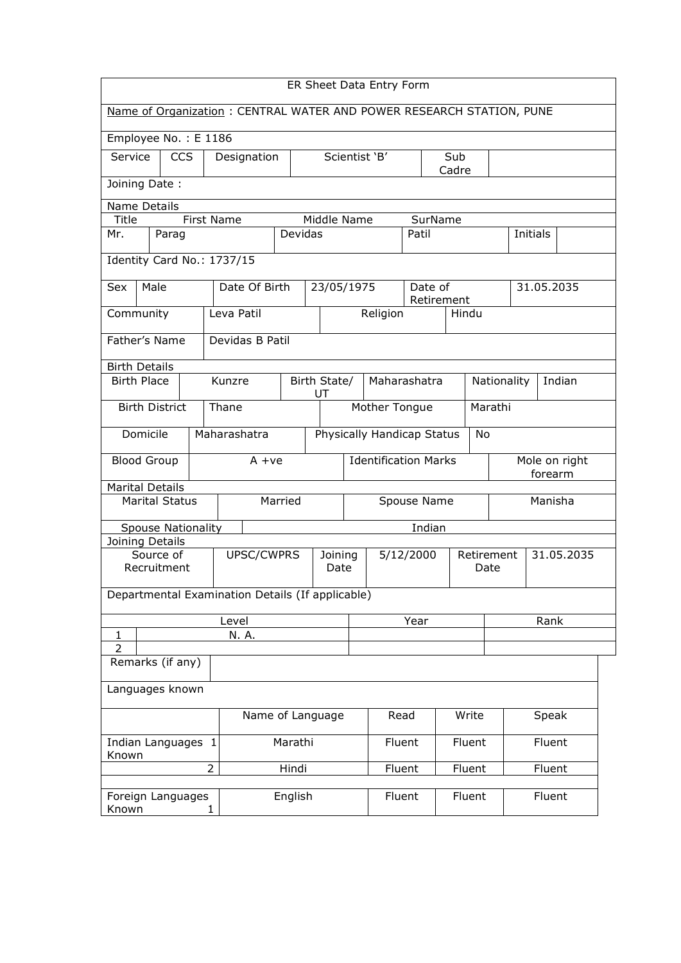| ER Sheet Data Entry Form                                             |                                                  |  |                   |                 |         |               |                                         |               |             |              |            |      |                                                   |  |  |
|----------------------------------------------------------------------|--------------------------------------------------|--|-------------------|-----------------|---------|---------------|-----------------------------------------|---------------|-------------|--------------|------------|------|---------------------------------------------------|--|--|
| Name of Organization: CENTRAL WATER AND POWER RESEARCH STATION, PUNE |                                                  |  |                   |                 |         |               |                                         |               |             |              |            |      |                                                   |  |  |
| Employee No.: E 1186                                                 |                                                  |  |                   |                 |         |               |                                         |               |             |              |            |      |                                                   |  |  |
| Service                                                              | <b>CCS</b>                                       |  |                   | Designation     |         |               |                                         | Scientist 'B' |             | Sub<br>Cadre |            |      |                                                   |  |  |
|                                                                      | Joining Date:                                    |  |                   |                 |         |               |                                         |               |             |              |            |      |                                                   |  |  |
|                                                                      | Name Details                                     |  |                   |                 |         |               |                                         |               |             |              |            |      |                                                   |  |  |
| Title                                                                |                                                  |  | <b>First Name</b> |                 |         | Middle Name   |                                         | SurName       |             |              |            |      |                                                   |  |  |
| Mr.                                                                  | Parag                                            |  |                   |                 | Devidas |               |                                         |               | Patil       |              |            |      | Initials                                          |  |  |
| Identity Card No.: 1737/15                                           |                                                  |  |                   |                 |         |               |                                         |               |             |              |            |      |                                                   |  |  |
| Sex                                                                  | Male                                             |  |                   | Date Of Birth   |         | 23/05/1975    |                                         |               | Date of     | Retirement   |            |      | 31.05.2035                                        |  |  |
| Community                                                            |                                                  |  | Leva Patil        |                 |         |               |                                         | Religion      |             |              | Hindu      |      |                                                   |  |  |
| Father's Name                                                        |                                                  |  |                   | Devidas B Patil |         |               |                                         |               |             |              |            |      |                                                   |  |  |
|                                                                      |                                                  |  |                   |                 |         |               |                                         |               |             |              |            |      |                                                   |  |  |
| <b>Birth Details</b><br><b>Birth Place</b>                           |                                                  |  | Kunzre            |                 |         | Birth State/  |                                         | Maharashatra  |             |              |            |      |                                                   |  |  |
|                                                                      |                                                  |  |                   |                 |         | UT            |                                         |               |             |              |            |      | Nationality<br>Indian<br>Mole on right<br>forearm |  |  |
| <b>Birth District</b><br>Thane                                       |                                                  |  |                   |                 |         | Mother Tongue |                                         |               | Marathi     |              |            |      |                                                   |  |  |
| Domicile<br>Maharashatra                                             |                                                  |  |                   |                 |         |               | Physically Handicap Status<br><b>No</b> |               |             |              |            |      |                                                   |  |  |
| <b>Blood Group</b>                                                   |                                                  |  |                   | $A + ve$        |         |               | <b>Identification Marks</b>             |               |             |              |            |      |                                                   |  |  |
| <b>Marital Details</b>                                               |                                                  |  |                   |                 |         |               |                                         |               |             |              |            |      |                                                   |  |  |
|                                                                      | <b>Marital Status</b>                            |  |                   |                 | Married |               |                                         |               | Spouse Name |              | Manisha    |      |                                                   |  |  |
|                                                                      | Spouse Nationality                               |  |                   |                 |         |               |                                         |               | Indian      |              |            |      |                                                   |  |  |
| Joining Details                                                      | Source of                                        |  |                   | UPSC/CWPRS      |         | Joining       |                                         |               | 5/12/2000   |              | Retirement |      | 31.05.2035                                        |  |  |
|                                                                      | Recruitment                                      |  |                   |                 |         | Date          |                                         |               |             |              | Date       |      |                                                   |  |  |
|                                                                      | Departmental Examination Details (If applicable) |  |                   |                 |         |               |                                         |               |             |              |            |      |                                                   |  |  |
|                                                                      |                                                  |  | Level             |                 |         |               |                                         |               | Year        |              |            | Rank |                                                   |  |  |
| $\mathbf{1}$                                                         |                                                  |  |                   | N. A.           |         |               |                                         |               |             |              |            |      |                                                   |  |  |
| $\overline{2}$                                                       | Remarks (if any)                                 |  |                   |                 |         |               |                                         |               |             |              |            |      |                                                   |  |  |
|                                                                      |                                                  |  |                   |                 |         |               |                                         |               |             |              |            |      |                                                   |  |  |
| Languages known                                                      |                                                  |  |                   |                 |         |               |                                         |               |             |              |            |      |                                                   |  |  |
| Name of Language                                                     |                                                  |  |                   |                 |         | Read          |                                         |               | Write       |              | Speak      |      |                                                   |  |  |
| Indian Languages 1<br>Known                                          |                                                  |  |                   |                 | Marathi |               |                                         | Fluent        |             |              | Fluent     |      | Fluent                                            |  |  |
|                                                                      |                                                  |  | $\overline{2}$    |                 | Hindi   |               |                                         | Fluent        |             |              | Fluent     |      | Fluent                                            |  |  |
|                                                                      | Foreign Languages                                |  |                   |                 | English |               |                                         | Fluent        |             |              | Fluent     |      | Fluent                                            |  |  |
| Known                                                                | 1                                                |  |                   |                 |         |               |                                         |               |             |              |            |      |                                                   |  |  |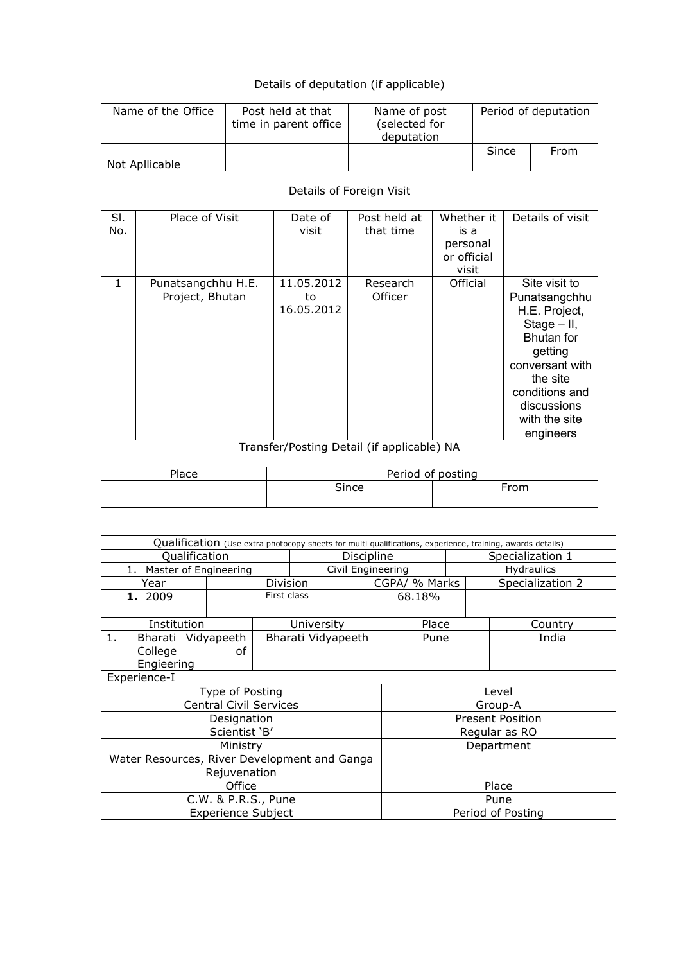## Details of deputation (if applicable)

| Name of the Office | Post held at that<br>time in parent office | Name of post<br>(selected for<br>deputation | Period of deputation |      |  |
|--------------------|--------------------------------------------|---------------------------------------------|----------------------|------|--|
|                    |                                            |                                             | Since                | From |  |
| Not Apllicable     |                                            |                                             |                      |      |  |

## Details of Foreign Visit

| SI.<br>No.   | Place of Visit                        | Date of<br>visit               | Post held at<br>that time | Whether it<br>is a<br>personal<br>or official<br>visit | Details of visit                                                                                                                                                                                |
|--------------|---------------------------------------|--------------------------------|---------------------------|--------------------------------------------------------|-------------------------------------------------------------------------------------------------------------------------------------------------------------------------------------------------|
| $\mathbf{1}$ | Punatsangchhu H.E.<br>Project, Bhutan | 11.05.2012<br>to<br>16.05.2012 | Research<br>Officer       | Official                                               | Site visit to<br>Punatsangchhu<br>H.E. Project,<br>$Stage - II$ ,<br><b>Bhutan</b> for<br>getting<br>conversant with<br>the site<br>conditions and<br>discussions<br>with the site<br>engineers |

## Transfer/Posting Detail (if applicable) NA

| Place | Period of posting |      |  |  |  |
|-------|-------------------|------|--|--|--|
|       | Since             | ⊦rom |  |  |  |
|       |                   |      |  |  |  |

| Qualification (Use extra photocopy sheets for multi qualifications, experience, training, awards details) |                               |                 |                    |        |                         |                  |                  |  |  |  |
|-----------------------------------------------------------------------------------------------------------|-------------------------------|-----------------|--------------------|--------|-------------------------|------------------|------------------|--|--|--|
| Qualification                                                                                             |                               |                 | Discipline         |        |                         | Specialization 1 |                  |  |  |  |
| Master of Engineering<br>1.                                                                               | Civil Engineering             |                 |                    |        | <b>Hydraulics</b>       |                  |                  |  |  |  |
| Year                                                                                                      |                               | <b>Division</b> |                    |        | CGPA/ % Marks           |                  | Specialization 2 |  |  |  |
| First class<br>1. 2009                                                                                    |                               |                 |                    | 68.18% |                         |                  |                  |  |  |  |
| Institution                                                                                               |                               |                 | University         |        | Place                   |                  | Country          |  |  |  |
| 1.<br>Bharati Vidyapeeth                                                                                  |                               |                 | Bharati Vidyapeeth |        | Pune                    |                  | India            |  |  |  |
| College                                                                                                   | οf                            |                 |                    |        |                         |                  |                  |  |  |  |
| Engieering                                                                                                |                               |                 |                    |        |                         |                  |                  |  |  |  |
| Experience-I                                                                                              |                               |                 |                    |        |                         |                  |                  |  |  |  |
|                                                                                                           | Type of Posting               |                 |                    |        | Level                   |                  |                  |  |  |  |
|                                                                                                           | <b>Central Civil Services</b> |                 |                    |        |                         |                  | Group-A          |  |  |  |
|                                                                                                           | Designation                   |                 |                    |        | <b>Present Position</b> |                  |                  |  |  |  |
|                                                                                                           | Scientist 'B'                 |                 |                    |        | Regular as RO           |                  |                  |  |  |  |
|                                                                                                           | Ministry                      |                 |                    |        | Department              |                  |                  |  |  |  |
| Water Resources, River Development and Ganga                                                              |                               |                 |                    |        |                         |                  |                  |  |  |  |
|                                                                                                           | Rejuvenation                  |                 |                    |        |                         |                  |                  |  |  |  |
|                                                                                                           | Office                        |                 | Place              |        |                         |                  |                  |  |  |  |
|                                                                                                           | C.W. & P.R.S., Pune           |                 | Pune               |        |                         |                  |                  |  |  |  |
|                                                                                                           | <b>Experience Subject</b>     |                 |                    |        | Period of Posting       |                  |                  |  |  |  |